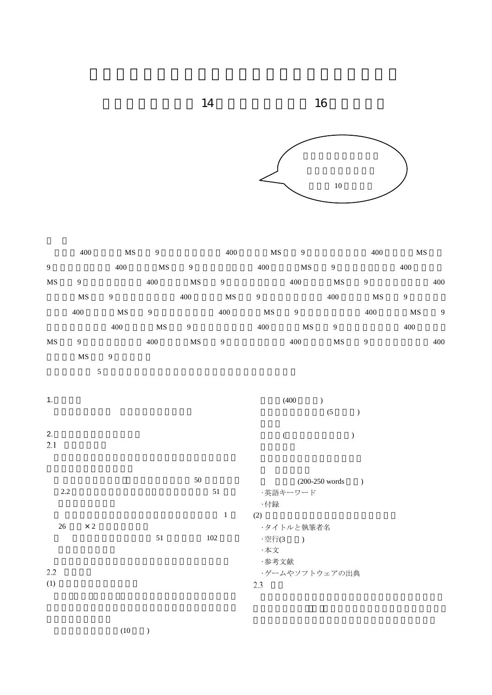



|                        | 400            | MS                 | $\boldsymbol{9}$ |                | 400              | $\mathbf{M}\mathbf{S}$ | $\boldsymbol{9}$ |                           | 400                    | $\rm MS$       |               |
|------------------------|----------------|--------------------|------------------|----------------|------------------|------------------------|------------------|---------------------------|------------------------|----------------|---------------|
| $\overline{9}$         |                | 400                | <b>MS</b>        | $\overline{9}$ |                  | 400                    | $\rm MS$         | 9                         |                        | 400            |               |
| $\mathbf{M}\mathbf{S}$ | 9 <sup>1</sup> |                    | 400              | $\rm MS$       | $\boldsymbol{9}$ |                        | 400              | $\mathbf{M}\mathbf{S}$    | $\overline{9}$         |                | 400           |
|                        | MS             | 9                  |                  | 400            | $\rm MS$         | 9                      |                  | 400                       | $\mathbf{M}\mathbf{S}$ | $\overline{9}$ |               |
|                        | 400            | MS                 | $\overline{9}$   |                | 400              | MS                     | 9                |                           | 400                    | MS             | $\mathcal{G}$ |
|                        |                | 400                | MS               | $\overline{9}$ |                  | 400                    | MS               | $\overline{9}$            |                        | 400            |               |
| $\mathbf{M}\mathbf{S}$ | $\overline{9}$ |                    | 400              | $\rm MS$       | $\overline{9}$   |                        | 400              | $\rm MS$                  | $\boldsymbol{9}$       |                | 400           |
|                        | $\rm{MS}$      | $\overline{9}$     |                  |                |                  |                        |                  |                           |                        |                |               |
|                        | $\sqrt{5}$     |                    |                  |                |                  |                        |                  |                           |                        |                |               |
|                        |                |                    |                  |                |                  |                        |                  |                           |                        |                |               |
| 1.                     |                | (400)<br>$\lambda$ |                  |                |                  |                        |                  |                           |                        |                |               |
|                        |                |                    |                  |                |                  |                        |                  | (5)                       | $\lambda$              |                |               |
| 2.                     |                |                    |                  |                |                  |                        | $\overline{(\ }$ |                           | $\lambda$              |                |               |
| 2.1                    |                |                    |                  |                |                  |                        |                  |                           |                        |                |               |
|                        |                |                    |                  |                |                  |                        |                  |                           |                        |                |               |
|                        |                |                    |                  | 50             |                  |                        |                  |                           |                        |                |               |
| 2.2                    |                |                    |                  |                | 51               |                        | ・英語キーワード         | $(200-250 \text{ words})$ |                        |                |               |
|                        |                |                    |                  |                |                  | ·付録                    |                  |                           |                        |                |               |
|                        |                |                    |                  |                | $\mathbf{1}$     | (2)                    |                  |                           |                        |                |               |
| $26\,$                 | $\times$ 2     |                    |                  |                |                  |                        | ・タイトルと執筆者名       |                           |                        |                |               |
|                        |                |                    | 51               |                | 102              | ·空行(3)                 |                  |                           |                        |                |               |
|                        |                |                    |                  |                |                  | ·本文                    |                  |                           |                        |                |               |
| 2.2                    |                |                    |                  |                |                  | ·参考文献                  |                  |                           |                        |                |               |
| (1)                    |                |                    |                  |                |                  | 2.3                    | ・ゲームやソフトウェアの出典   |                           |                        |                |               |
|                        |                |                    |                  |                |                  |                        |                  |                           |                        |                |               |

 $(10)$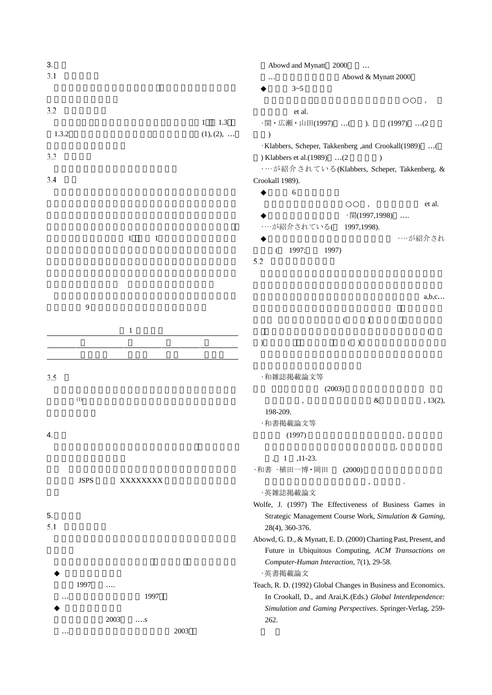| 3.    |             |                              |                     | Abowd and Mynatt 2000<br>$\ddots$                                 |  |
|-------|-------------|------------------------------|---------------------|-------------------------------------------------------------------|--|
| 3.1   |             |                              |                     | Abowd & Mynatt 2000<br>$\cdots$                                   |  |
|       |             |                              |                     | $3 - 5$                                                           |  |
| 3.2   |             |                              |                     |                                                                   |  |
|       |             |                              | $\mathbf{1}$<br>1.3 | et al.                                                            |  |
| 1.3.2 |             |                              | $(1), (2), \ldots$  | ·関・広瀬・山田(1997) ( ).<br>$(1997)$ $(2)$<br>$\mathcal{E}$            |  |
|       |             |                              |                     | · Klabbers, Scheper, Takkenberg ,and Crookall(1989)  (            |  |
| 3.3   |             |                              |                     | ) Klabbers et al.(1989) (2                                        |  |
|       |             |                              |                     | …が紹介されている(Klabbers, Scheper, Takkenberg, &                        |  |
| 3.4   |             |                              |                     | Crookall 1989).                                                   |  |
|       |             |                              |                     | 6                                                                 |  |
|       |             |                              |                     | et al.                                                            |  |
|       |             |                              |                     | ·関(1997,1998)                                                     |  |
|       |             |                              |                     | …が紹介されている(<br>1997, 1998).                                        |  |
|       |             | $\mathbf{1}$<br>$\mathbf{1}$ |                     | ……が紹介され                                                           |  |
|       |             |                              |                     | 1997;<br>1997)<br>€                                               |  |
|       |             |                              |                     | 5.2                                                               |  |
|       |             |                              |                     |                                                                   |  |
|       |             |                              |                     |                                                                   |  |
|       |             |                              |                     | a,b,c                                                             |  |
|       | 9           |                              |                     |                                                                   |  |
|       |             |                              |                     | €<br>$\mathcal{E}$                                                |  |
|       |             | 1                            |                     | $\left($                                                          |  |
|       |             |                              |                     | $($ )<br>$\mathcal{E}$                                            |  |
|       |             |                              |                     |                                                                   |  |
| 3.5   |             |                              |                     | ・和雑誌掲載論文等                                                         |  |
|       |             |                              |                     | (2003)                                                            |  |
|       | (1)         |                              |                     | $\&$<br>, 13(2),<br>$\cdot$                                       |  |
|       |             |                              |                     | 198-209.                                                          |  |
|       |             |                              |                     | ·和書掲載論文等                                                          |  |
| 4.    |             |                              |                     | (1997)<br>,                                                       |  |
|       |             |                              |                     |                                                                   |  |
|       |             |                              |                     | $,11-23.$<br>1                                                    |  |
|       |             |                              |                     | ・和書一植田一博・岡田<br>(2000)                                             |  |
|       | <b>JSPS</b> | XXXXXXXX                     |                     |                                                                   |  |
|       |             |                              |                     | ·英雑誌掲載論文                                                          |  |
|       |             |                              |                     | Wolfe, J. (1997) The Effectiveness of Business Games in           |  |
| 5.    |             |                              |                     | Strategic Management Course Work, Simulation & Gaming,            |  |
| 5.1   |             |                              |                     | 28(4), 360-376.                                                   |  |
|       |             |                              |                     | Abowd, G. D., & Mynatt, E. D. (2000) Charting Past, Present, and  |  |
|       |             |                              |                     | Future in Ubiquitous Computing, ACM Transactions on               |  |
|       |             |                              |                     | Computer-Human Interaction, 7(1), 29-58.                          |  |
|       |             |                              |                     | ·英書掲載論文                                                           |  |
|       | 1997        | .<br>1997                    |                     | Teach, R. D. (1992) Global Changes in Business and Economics.     |  |
| .     |             |                              |                     | In Crookall, D., and Arai, K.(Eds.) Global Interdependence:       |  |
|       |             | 2003<br>$\ldots$ S           |                     | Simulation and Gaming Perspectives. Springer-Verlag, 259-<br>262. |  |
| .     |             | 2003                         |                     |                                                                   |  |
|       |             |                              |                     |                                                                   |  |